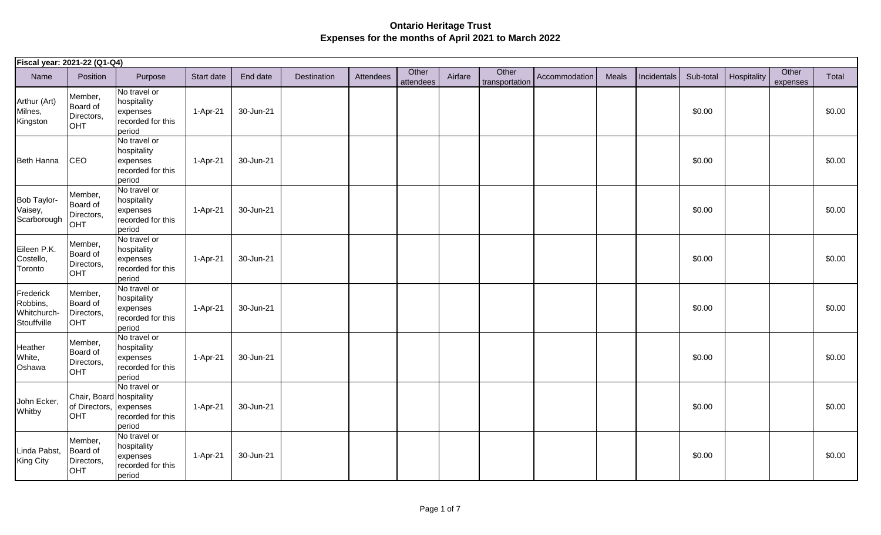| Fiscal year: 2021-22 (Q1-Q4)                        |                                                                  |                                                                        |            |           |             |           |                    |         |                         |               |       |             |           |             |                   |        |
|-----------------------------------------------------|------------------------------------------------------------------|------------------------------------------------------------------------|------------|-----------|-------------|-----------|--------------------|---------|-------------------------|---------------|-------|-------------|-----------|-------------|-------------------|--------|
| Name                                                | Position                                                         | Purpose                                                                | Start date | End date  | Destination | Attendees | Other<br>attendees | Airfare | Other<br>transportation | Accommodation | Meals | Incidentals | Sub-total | Hospitality | Other<br>expenses | Total  |
| Arthur (Art)<br>Milnes,<br>Kingston                 | Member,<br>Board of<br>Directors,<br><b>OHT</b>                  | No travel or<br>hospitality<br>expenses<br>recorded for this<br>period | 1-Apr-21   | 30-Jun-21 |             |           |                    |         |                         |               |       |             | \$0.00    |             |                   | \$0.00 |
| Beth Hanna                                          | CEO                                                              | No travel or<br>hospitality<br>expenses<br>recorded for this<br>period | 1-Apr-21   | 30-Jun-21 |             |           |                    |         |                         |               |       |             | \$0.00    |             |                   | \$0.00 |
| Bob Taylor-<br>Vaisey,<br>Scarborough               | Member,<br>Board of<br>Directors,<br><b>OHT</b>                  | No travel or<br>hospitality<br>expenses<br>recorded for this<br>period | 1-Apr-21   | 30-Jun-21 |             |           |                    |         |                         |               |       |             | \$0.00    |             |                   | \$0.00 |
| Eileen P.K.<br>Costello,<br>Toronto                 | Member,<br>Board of<br>Directors,<br><b>OHT</b>                  | No travel or<br>hospitality<br>expenses<br>recorded for this<br>period | 1-Apr-21   | 30-Jun-21 |             |           |                    |         |                         |               |       |             | \$0.00    |             |                   | \$0.00 |
| Frederick<br>Robbins,<br>Whitchurch-<br>Stouffville | Member,<br>Board of<br>Directors,<br>OHT                         | No travel or<br>hospitality<br>expenses<br>recorded for this<br>period | 1-Apr-21   | 30-Jun-21 |             |           |                    |         |                         |               |       |             | \$0.00    |             |                   | \$0.00 |
| Heather<br>White,<br>Oshawa                         | Member,<br>Board of<br>Directors,<br><b>OHT</b>                  | No travel or<br>hospitality<br>expenses<br>recorded for this<br>period | 1-Apr-21   | 30-Jun-21 |             |           |                    |         |                         |               |       |             | \$0.00    |             |                   | \$0.00 |
| John Ecker,<br>Whitby                               | Chair, Board hospitality<br>of Directors, expenses<br><b>OHT</b> | No travel or<br>recorded for this<br>period                            | 1-Apr-21   | 30-Jun-21 |             |           |                    |         |                         |               |       |             | \$0.00    |             |                   | \$0.00 |
| Linda Pabst,<br><b>King City</b>                    | Member,<br>Board of<br>Directors,<br><b>OHT</b>                  | No travel or<br>hospitality<br>expenses<br>recorded for this<br>period | 1-Apr-21   | 30-Jun-21 |             |           |                    |         |                         |               |       |             | \$0.00    |             |                   | \$0.00 |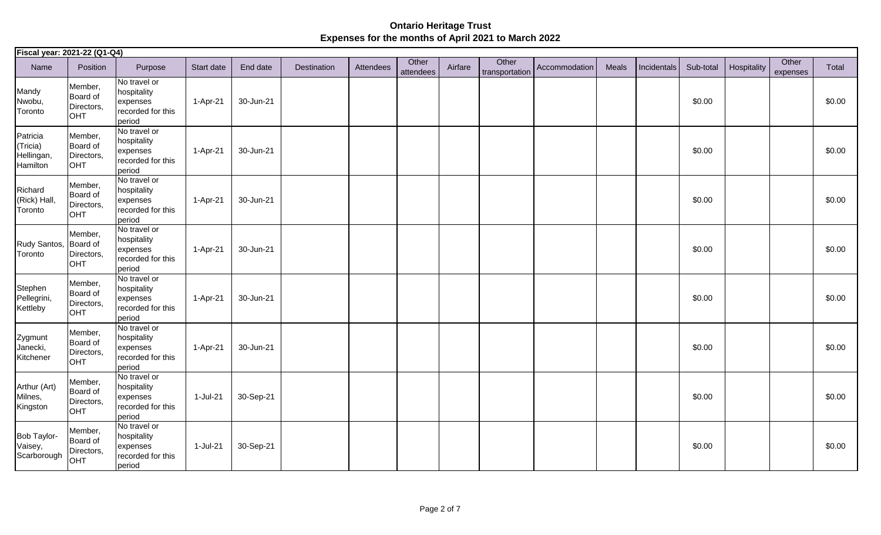| Fiscal year: 2021-22 (Q1-Q4)                   |                                                        |                                                                        |            |           |             |           |                    |         |                         |               |       |             |           |             |                   |        |
|------------------------------------------------|--------------------------------------------------------|------------------------------------------------------------------------|------------|-----------|-------------|-----------|--------------------|---------|-------------------------|---------------|-------|-------------|-----------|-------------|-------------------|--------|
| Name                                           | Position                                               | Purpose                                                                | Start date | End date  | Destination | Attendees | Other<br>attendees | Airfare | Other<br>transportation | Accommodation | Meals | Incidentals | Sub-total | Hospitality | Other<br>expenses | Total  |
| Mandy<br>Nwobu,<br>Toronto                     | Member,<br>Board of<br>Directors,<br><b>OHT</b>        | No travel or<br>hospitality<br>expenses<br>recorded for this<br>period | 1-Apr-21   | 30-Jun-21 |             |           |                    |         |                         |               |       |             | \$0.00    |             |                   | \$0.00 |
| Patricia<br>(Tricia)<br>Hellingan,<br>Hamilton | Member,<br>Board of<br>Directors,<br><b>OHT</b>        | No travel or<br>hospitality<br>expenses<br>recorded for this<br>period | 1-Apr-21   | 30-Jun-21 |             |           |                    |         |                         |               |       |             | \$0.00    |             |                   | \$0.00 |
| Richard<br>(Rick) Hall,<br>Toronto             | Member,<br>Board of<br>Directors,<br>OHT               | No travel or<br>hospitality<br>expenses<br>recorded for this<br>period | 1-Apr-21   | 30-Jun-21 |             |           |                    |         |                         |               |       |             | \$0.00    |             |                   | \$0.00 |
| Rudy Santos,<br>Toronto                        | Member,<br>Board of<br>Directors,<br>OHT               | No travel or<br>hospitality<br>expenses<br>recorded for this<br>period | 1-Apr-21   | 30-Jun-21 |             |           |                    |         |                         |               |       |             | \$0.00    |             |                   | \$0.00 |
| Stephen<br>Pellegrini,<br>Kettleby             | Member,<br><b>Board of</b><br>Directors,<br><b>OHT</b> | No travel or<br>hospitality<br>expenses<br>recorded for this<br>period | 1-Apr-21   | 30-Jun-21 |             |           |                    |         |                         |               |       |             | \$0.00    |             |                   | \$0.00 |
| Zygmunt<br>Janecki,<br>Kitchener               | Member,<br><b>Board of</b><br>Directors,<br>OHT        | No travel or<br>hospitality<br>expenses<br>recorded for this<br>period | 1-Apr-21   | 30-Jun-21 |             |           |                    |         |                         |               |       |             | \$0.00    |             |                   | \$0.00 |
| Arthur (Art)<br>Milnes,<br>Kingston            | Member,<br>Board of<br>Directors,<br>OHT               | No travel or<br>hospitality<br>expenses<br>recorded for this<br>period | 1-Jul-21   | 30-Sep-21 |             |           |                    |         |                         |               |       |             | \$0.00    |             |                   | \$0.00 |
| Bob Taylor-<br>Vaisey,<br>Scarborough          | Member,<br>Board of<br>Directors,<br>OHT               | No travel or<br>hospitality<br>expenses<br>recorded for this<br>period | 1-Jul-21   | 30-Sep-21 |             |           |                    |         |                         |               |       |             | \$0.00    |             |                   | \$0.00 |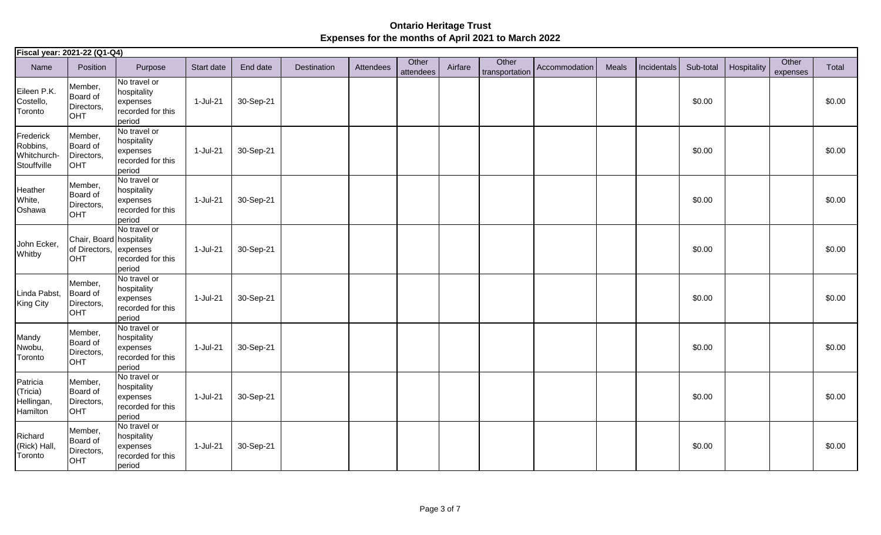| Fiscal year: 2021-22 (Q1-Q4)                        |                                                           |                                                                        |            |           |             |           |                    |         |                         |               |       |             |           |             |                   |        |
|-----------------------------------------------------|-----------------------------------------------------------|------------------------------------------------------------------------|------------|-----------|-------------|-----------|--------------------|---------|-------------------------|---------------|-------|-------------|-----------|-------------|-------------------|--------|
| Name                                                | Position                                                  | Purpose                                                                | Start date | End date  | Destination | Attendees | Other<br>attendees | Airfare | Other<br>transportation | Accommodation | Meals | Incidentals | Sub-total | Hospitality | Other<br>expenses | Total  |
| Eileen P.K.<br>Costello,<br>Toronto                 | Member,<br>Board of<br>Directors,<br><b>OHT</b>           | No travel or<br>hospitality<br>expenses<br>recorded for this<br>period | 1-Jul-21   | 30-Sep-21 |             |           |                    |         |                         |               |       |             | \$0.00    |             |                   | \$0.00 |
| Frederick<br>Robbins,<br>Whitchurch-<br>Stouffville | Member,<br>Board of<br>Directors,<br><b>OHT</b>           | No travel or<br>hospitality<br>expenses<br>recorded for this<br>period | 1-Jul-21   | 30-Sep-21 |             |           |                    |         |                         |               |       |             | \$0.00    |             |                   | \$0.00 |
| Heather<br>White,<br>Oshawa                         | Member,<br>Board of<br>Directors,<br>OHT                  | No travel or<br>hospitality<br>expenses<br>recorded for this<br>period | $1-Jul-21$ | 30-Sep-21 |             |           |                    |         |                         |               |       |             | \$0.00    |             |                   | \$0.00 |
| John Ecker,<br>Whitby                               | Chair, Board hospitality<br>of Directors, expenses<br>OHT | No travel or<br>recorded for this<br>period                            | 1-Jul-21   | 30-Sep-21 |             |           |                    |         |                         |               |       |             | \$0.00    |             |                   | \$0.00 |
| Linda Pabst,<br>King City                           | Member,<br>Board of<br>Directors,<br><b>OHT</b>           | No travel or<br>hospitality<br>expenses<br>recorded for this<br>period | 1-Jul-21   | 30-Sep-21 |             |           |                    |         |                         |               |       |             | \$0.00    |             |                   | \$0.00 |
| Mandy<br>Nwobu,<br>Toronto                          | Member,<br>Board of<br>Directors,<br>OHT                  | No travel or<br>hospitality<br>expenses<br>recorded for this<br>period | 1-Jul-21   | 30-Sep-21 |             |           |                    |         |                         |               |       |             | \$0.00    |             |                   | \$0.00 |
| Patricia<br>(Tricia)<br>Hellingan,<br>Hamilton      | Member,<br><b>Board of</b><br>Directors,<br><b>OHT</b>    | No travel or<br>hospitality<br>expenses<br>recorded for this<br>period | 1-Jul-21   | 30-Sep-21 |             |           |                    |         |                         |               |       |             | \$0.00    |             |                   | \$0.00 |
| Richard<br>(Rick) Hall,<br>Toronto                  | Member,<br>Board of<br>Directors,<br>OHT                  | No travel or<br>hospitality<br>expenses<br>recorded for this<br>period | 1-Jul-21   | 30-Sep-21 |             |           |                    |         |                         |               |       |             | \$0.00    |             |                   | \$0.00 |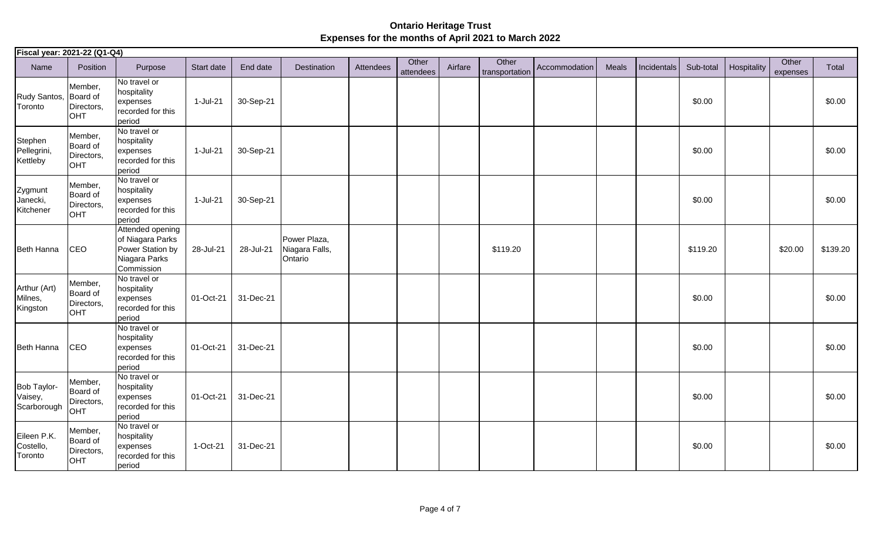| Fiscal year: 2021-22 (Q1-Q4)          |                                                 |                                                                                         |            |           |                                           |           |                    |         |                         |               |       |             |           |             |                   |          |
|---------------------------------------|-------------------------------------------------|-----------------------------------------------------------------------------------------|------------|-----------|-------------------------------------------|-----------|--------------------|---------|-------------------------|---------------|-------|-------------|-----------|-------------|-------------------|----------|
| Name                                  | Position                                        | Purpose                                                                                 | Start date | End date  | Destination                               | Attendees | Other<br>attendees | Airfare | Other<br>transportation | Accommodation | Meals | Incidentals | Sub-total | Hospitality | Other<br>expenses | Total    |
| Rudy Santos,<br>Toronto               | Member,<br>Board of<br>Directors,<br><b>OHT</b> | $\overline{No}$ travel or<br>hospitality<br>expenses<br>recorded for this<br>period     | 1-Jul-21   | 30-Sep-21 |                                           |           |                    |         |                         |               |       |             | \$0.00    |             |                   | \$0.00   |
| Stephen<br>Pellegrini,<br>Kettleby    | Member,<br>Board of<br>Directors,<br><b>OHT</b> | No travel or<br>hospitality<br>expenses<br>recorded for this<br>period                  | 1-Jul-21   | 30-Sep-21 |                                           |           |                    |         |                         |               |       |             | \$0.00    |             |                   | \$0.00   |
| Zygmunt<br>Janecki,<br>Kitchener      | Member,<br>Board of<br>Directors,<br>OHT        | No travel or<br>hospitality<br>expenses<br>recorded for this<br>period                  | 1-Jul-21   | 30-Sep-21 |                                           |           |                    |         |                         |               |       |             | \$0.00    |             |                   | \$0.00   |
| Beth Hanna                            | CEO                                             | Attended opening<br>of Niagara Parks<br>Power Station by<br>Niagara Parks<br>Commission | 28-Jul-21  | 28-Jul-21 | Power Plaza,<br>Niagara Falls,<br>Ontario |           |                    |         | \$119.20                |               |       |             | \$119.20  |             | \$20.00           | \$139.20 |
| Arthur (Art)<br>Milnes,<br>Kingston   | Member,<br>Board of<br>Directors,<br><b>OHT</b> | No travel or<br>hospitality<br>expenses<br>recorded for this<br>period                  | 01-Oct-21  | 31-Dec-21 |                                           |           |                    |         |                         |               |       |             | \$0.00    |             |                   | \$0.00   |
| Beth Hanna                            | CEO                                             | No travel or<br>hospitality<br>expenses<br>recorded for this<br>period                  | 01-Oct-21  | 31-Dec-21 |                                           |           |                    |         |                         |               |       |             | \$0.00    |             |                   | \$0.00   |
| Bob Taylor-<br>Vaisey,<br>Scarborough | Member,<br>Board of<br>Directors,<br>OHT        | No travel or<br>hospitality<br>expenses<br>recorded for this<br>period                  | 01-Oct-21  | 31-Dec-21 |                                           |           |                    |         |                         |               |       |             | \$0.00    |             |                   | \$0.00   |
| Eileen P.K.<br>Costello,<br>Toronto   | Member,<br>Board of<br>Directors,<br>OHT        | No travel or<br>hospitality<br>expenses<br>recorded for this<br>period                  | 1-Oct-21   | 31-Dec-21 |                                           |           |                    |         |                         |               |       |             | \$0.00    |             |                   | \$0.00   |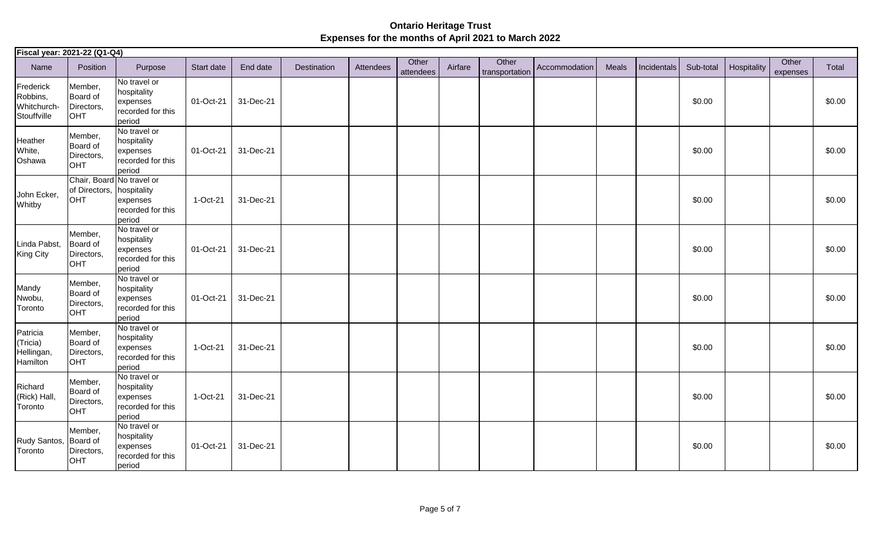| Fiscal year: 2021-22 (Q1-Q4)                        |                                                               |                                                                        |            |           |             |           |                    |         |                         |               |       |             |           |             |                   |        |
|-----------------------------------------------------|---------------------------------------------------------------|------------------------------------------------------------------------|------------|-----------|-------------|-----------|--------------------|---------|-------------------------|---------------|-------|-------------|-----------|-------------|-------------------|--------|
| Name                                                | Position                                                      | Purpose                                                                | Start date | End date  | Destination | Attendees | Other<br>attendees | Airfare | Other<br>transportation | Accommodation | Meals | Incidentals | Sub-total | Hospitality | Other<br>expenses | Total  |
| Frederick<br>Robbins,<br>Whitchurch-<br>Stouffville | Member,<br>Board of<br>Directors,<br><b>OHT</b>               | No travel or<br>hospitality<br>expenses<br>recorded for this<br>period | 01-Oct-21  | 31-Dec-21 |             |           |                    |         |                         |               |       |             | \$0.00    |             |                   | \$0.00 |
| Heather<br>White,<br>Oshawa                         | Member,<br>Board of<br>Directors,<br><b>OHT</b>               | No travel or<br>hospitality<br>expenses<br>recorded for this<br>period | 01-Oct-21  | 31-Dec-21 |             |           |                    |         |                         |               |       |             | \$0.00    |             |                   | \$0.00 |
| John Ecker,<br>Whitby                               | Chair, Board No travel or<br>of Directors, hospitality<br>OHT | expenses<br>recorded for this<br>period                                | 1-Oct-21   | 31-Dec-21 |             |           |                    |         |                         |               |       |             | \$0.00    |             |                   | \$0.00 |
| Linda Pabst,<br><b>King City</b>                    | Member,<br>Board of<br>Directors,<br><b>OHT</b>               | No travel or<br>hospitality<br>expenses<br>recorded for this<br>period | 01-Oct-21  | 31-Dec-21 |             |           |                    |         |                         |               |       |             | \$0.00    |             |                   | \$0.00 |
| Mandy<br>Nwobu,<br>Toronto                          | Member,<br>Board of<br>Directors,<br><b>OHT</b>               | No travel or<br>hospitality<br>expenses<br>recorded for this<br>period | 01-Oct-21  | 31-Dec-21 |             |           |                    |         |                         |               |       |             | \$0.00    |             |                   | \$0.00 |
| Patricia<br>(Tricia)<br>Hellingan,<br>Hamilton      | Member,<br>Board of<br>Directors,<br><b>OHT</b>               | No travel or<br>hospitality<br>expenses<br>recorded for this<br>period | 1-Oct-21   | 31-Dec-21 |             |           |                    |         |                         |               |       |             | \$0.00    |             |                   | \$0.00 |
| Richard<br>(Rick) Hall,<br>Toronto                  | Member,<br>Board of<br>Directors,<br><b>OHT</b>               | No travel or<br>hospitality<br>expenses<br>recorded for this<br>period | 1-Oct-21   | 31-Dec-21 |             |           |                    |         |                         |               |       |             | \$0.00    |             |                   | \$0.00 |
| Rudy Santos,<br>Toronto                             | Member,<br>Board of<br>Directors,<br><b>OHT</b>               | No travel or<br>hospitality<br>expenses<br>recorded for this<br>period | 01-Oct-21  | 31-Dec-21 |             |           |                    |         |                         |               |       |             | \$0.00    |             |                   | \$0.00 |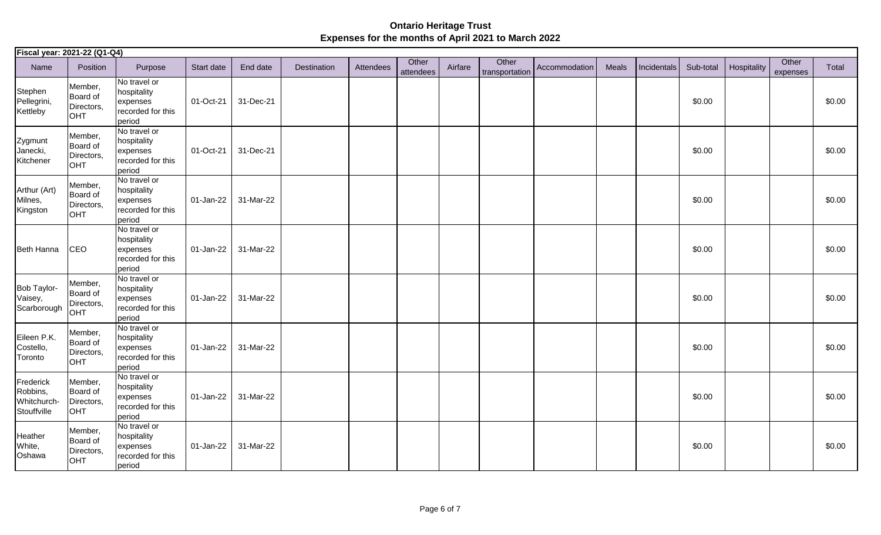| Fiscal year: 2021-22 (Q1-Q4)                        |                                                 |                                                                        |            |           |             |           |                    |         |                         |               |       |             |           |             |                   |        |
|-----------------------------------------------------|-------------------------------------------------|------------------------------------------------------------------------|------------|-----------|-------------|-----------|--------------------|---------|-------------------------|---------------|-------|-------------|-----------|-------------|-------------------|--------|
| Name                                                | Position                                        | Purpose                                                                | Start date | End date  | Destination | Attendees | Other<br>attendees | Airfare | Other<br>transportation | Accommodation | Meals | Incidentals | Sub-total | Hospitality | Other<br>expenses | Total  |
| Stephen<br>Pellegrini,<br>Kettleby                  | Member,<br>Board of<br>Directors,<br><b>OHT</b> | No travel or<br>hospitality<br>expenses<br>recorded for this<br>period | 01-Oct-21  | 31-Dec-21 |             |           |                    |         |                         |               |       |             | \$0.00    |             |                   | \$0.00 |
| Zygmunt<br>Janecki,<br>Kitchener                    | Member,<br>Board of<br>Directors,<br>OHT        | No travel or<br>hospitality<br>expenses<br>recorded for this<br>period | 01-Oct-21  | 31-Dec-21 |             |           |                    |         |                         |               |       |             | \$0.00    |             |                   | \$0.00 |
| Arthur (Art)<br>Milnes,<br>Kingston                 | Member,<br>Board of<br>Directors,<br>OHT        | No travel or<br>hospitality<br>expenses<br>recorded for this<br>period | 01-Jan-22  | 31-Mar-22 |             |           |                    |         |                         |               |       |             | \$0.00    |             |                   | \$0.00 |
| Beth Hanna                                          | <b>CEO</b>                                      | No travel or<br>hospitality<br>expenses<br>recorded for this<br>period | 01-Jan-22  | 31-Mar-22 |             |           |                    |         |                         |               |       |             | \$0.00    |             |                   | \$0.00 |
| Bob Taylor-<br>Vaisey,<br>Scarborough               | Member,<br>Board of<br>Directors,<br>OHT        | No travel or<br>hospitality<br>expenses<br>recorded for this<br>period | 01-Jan-22  | 31-Mar-22 |             |           |                    |         |                         |               |       |             | \$0.00    |             |                   | \$0.00 |
| Eileen P.K.<br>Costello,<br>Toronto                 | Member,<br><b>Board of</b><br>Directors,<br>OHT | No travel or<br>hospitality<br>expenses<br>recorded for this<br>period | 01-Jan-22  | 31-Mar-22 |             |           |                    |         |                         |               |       |             | \$0.00    |             |                   | \$0.00 |
| Frederick<br>Robbins,<br>Whitchurch-<br>Stouffville | Member,<br>Board of<br>Directors,<br>OHT        | No travel or<br>hospitality<br>expenses<br>recorded for this<br>period | 01-Jan-22  | 31-Mar-22 |             |           |                    |         |                         |               |       |             | \$0.00    |             |                   | \$0.00 |
| Heather<br>White,<br>Oshawa                         | Member,<br>Board of<br>Directors,<br><b>OHT</b> | No travel or<br>hospitality<br>expenses<br>recorded for this<br>period | 01-Jan-22  | 31-Mar-22 |             |           |                    |         |                         |               |       |             | \$0.00    |             |                   | \$0.00 |